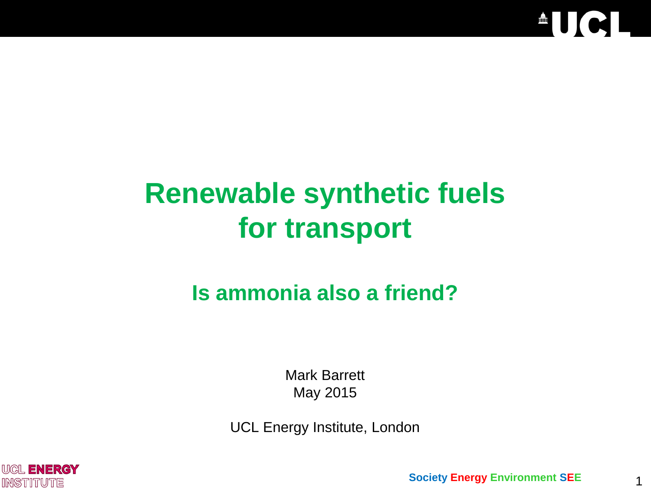

# **Renewable synthetic fuels for transport**

# **Is ammonia also a friend?**

Mark Barrett May 2015

UCL Energy Institute, London

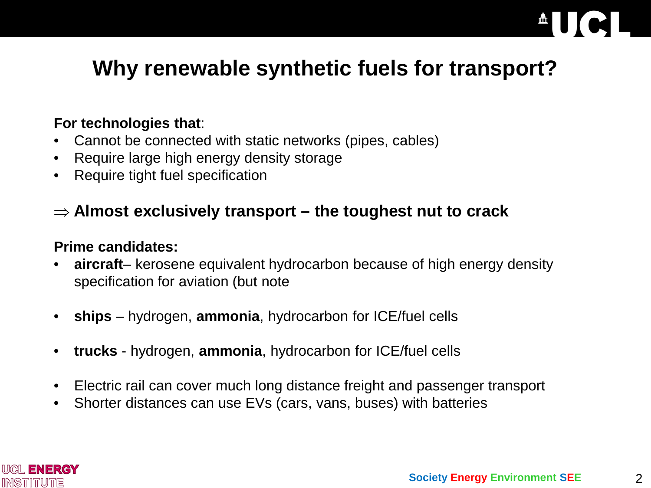# **Why renewable synthetic fuels for transport?**

#### **For technologies that**:

- Cannot be connected with static networks (pipes, cables)
- Require large high energy density storage
- Require tight fuel specification

#### ⇒ **Almost exclusively transport – the toughest nut to crack**

#### **Prime candidates:**

- **aircraft** kerosene equivalent hydrocarbon because of high energy density specification for aviation (but note
- **ships** hydrogen, **ammonia**, hydrocarbon for ICE/fuel cells
- **trucks** hydrogen, **ammonia**, hydrocarbon for ICE/fuel cells
- Electric rail can cover much long distance freight and passenger transport
- Shorter distances can use EVs (cars, vans, buses) with batteries

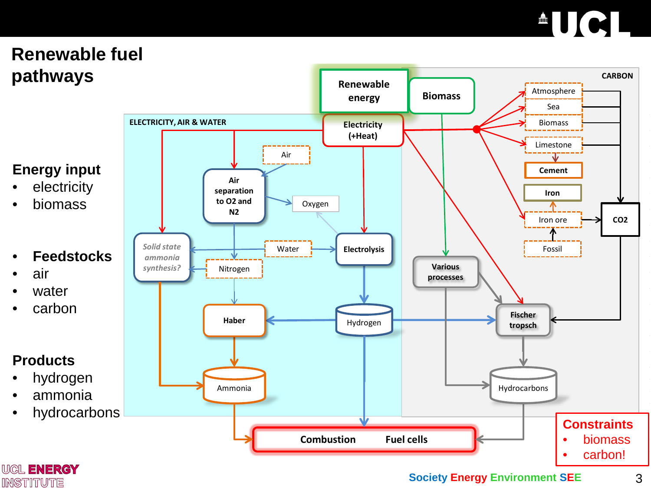# $\triangle$ UCI

## **Renewable fuel pathways**

### **Energy input**

- **electricity**
- biomass

#### • **Feedstocks**

- air
- water
- carbon

#### **Products**

- hydrogen
- ammonia
- 



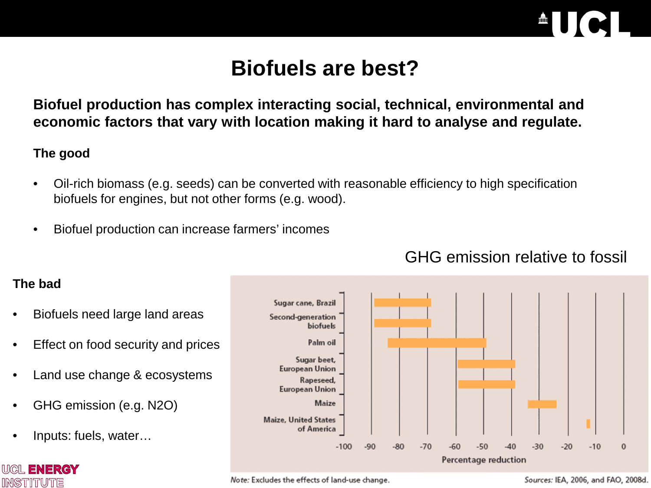

## **Biofuels are best?**

**Biofuel production has complex interacting social, technical, environmental and economic factors that vary with location making it hard to analyse and regulate.**

#### **The good**

- Oil-rich biomass (e.g. seeds) can be converted with reasonable efficiency to high specification biofuels for engines, but not other forms (e.g. wood).
- Biofuel production can increase farmers' incomes



### GHG emission relative to fossil

#### **The bad**

INSTITUTE

- Biofuels need large land areas
- Effect on food security and prices
- Land use change & ecosystems
- GHG emission (e.g. N2O)
- Inputs: fuels, water…

Note: Excludes the effects of land-use change.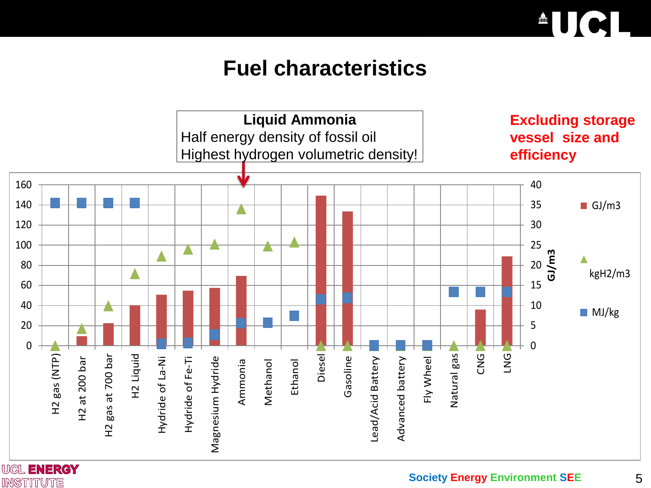

## **Fuel characteristics**



**INSTITUTE**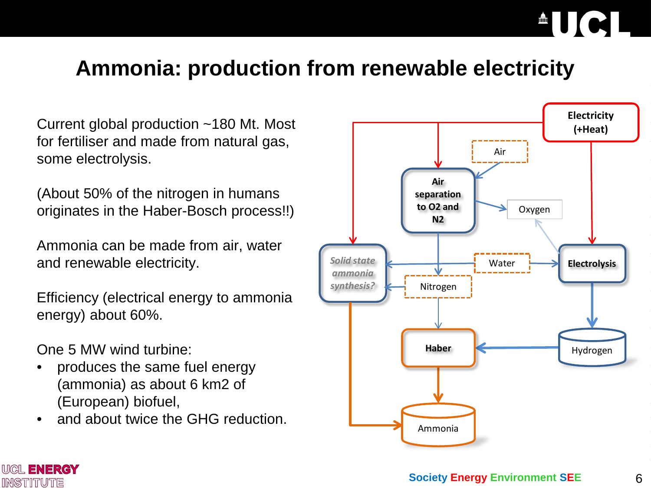## **Ammonia: production from renewable electricity**

Current global production ~180 Mt. Most for fertiliser and made from natural gas, some electrolysis.

(About 50% of the nitrogen in humans originates in the Haber-Bosch process!!)

Ammonia can be made from air, water and renewable electricity.

Efficiency (electrical energy to ammonia energy) about 60%.

One 5 MW wind turbine:

**WIGIL ENERGY INSTITUTE** 

- produces the same fuel energy (ammonia) as about 6 km2 of (European) biofuel,
- and about twice the GHG reduction.

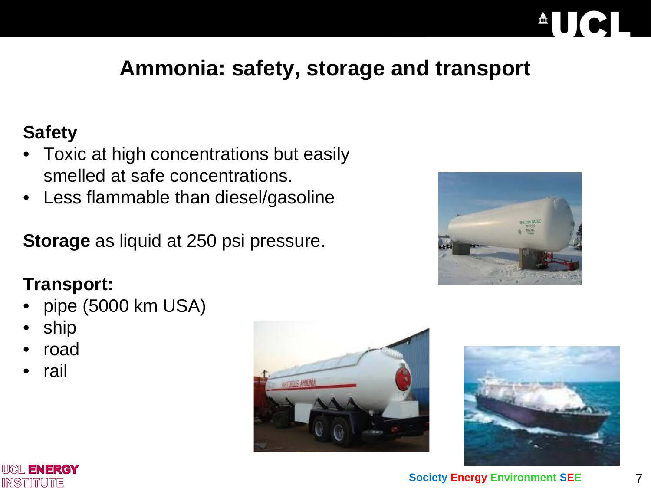# **Ammonia: safety, storage and transport**

## **Safety**

- Toxic at high concentrations but easily smelled at safe concentrations.
- Less flammable than diesel/gasoline

**Storage** as liquid at 250 psi pressure.

### **Transport:**

- pipe (5000 km USA)
- ship
- road
- rail







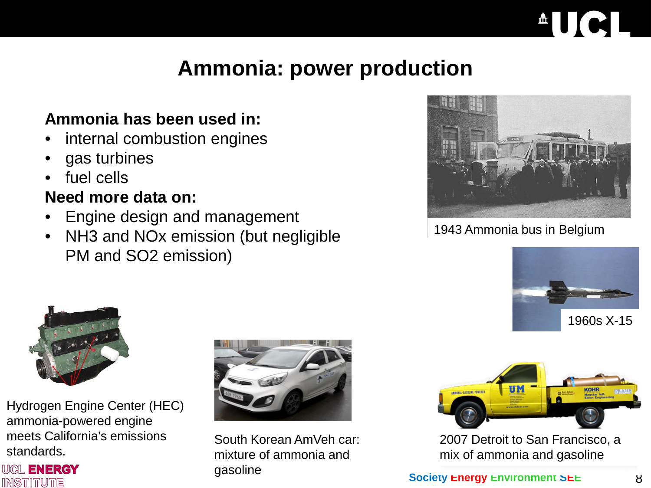## **Ammonia: power production**

### **Ammonia has been used in:**

- internal combustion engines
- gas turbines
- fuel cells

### **Need more data on:**

- Engine design and management
- NH3 and NOx emission (but negligible PM and SO2 emission)



1943 Ammonia bus in Belgium





Hydrogen Engine Center (HEC) ammonia-powered engine meets California's emissions standards.





South Korean AmVeh car: mixture of ammonia and gasoline



2007 Detroit to San Francisco, a mix of ammonia and gasoline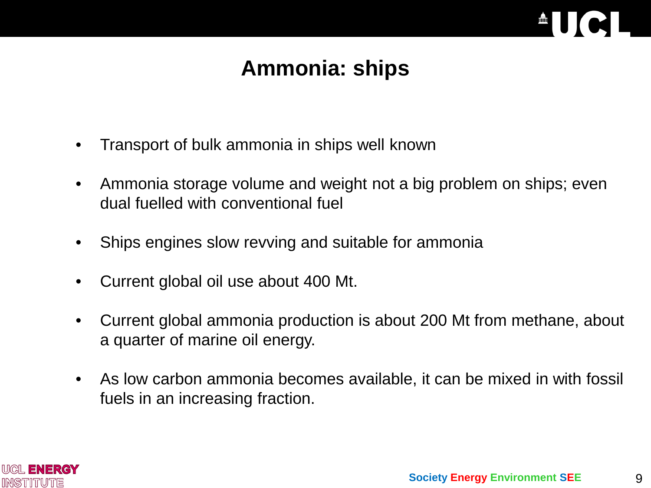

## **Ammonia: ships**

- Transport of bulk ammonia in ships well known
- Ammonia storage volume and weight not a big problem on ships; even dual fuelled with conventional fuel
- Ships engines slow revving and suitable for ammonia
- Current global oil use about 400 Mt.
- Current global ammonia production is about 200 Mt from methane, about a quarter of marine oil energy.
- As low carbon ammonia becomes available, it can be mixed in with fossil fuels in an increasing fraction.

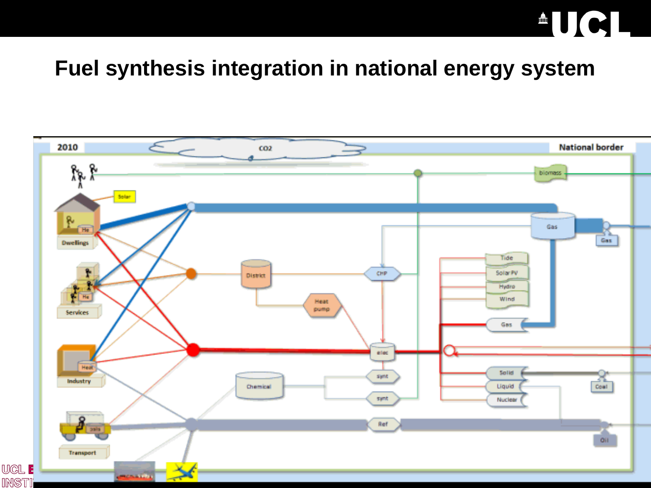# **AUCI**

## **Fuel synthesis integration in national energy system**

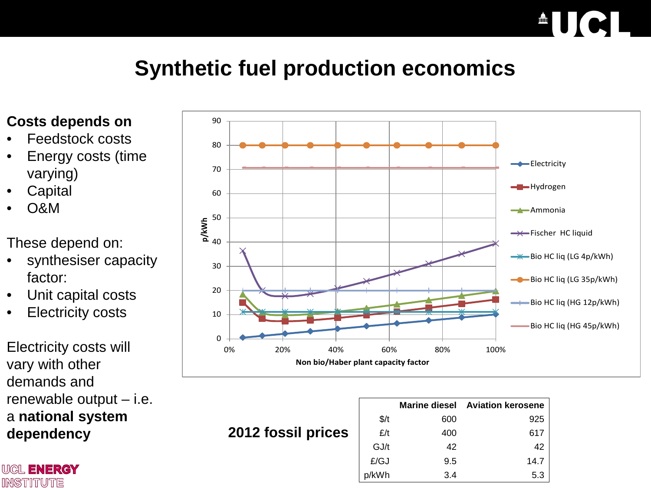# $\textcolor{red}{\bullet} \textcolor{red}{\bullet} \textcolor{red}{\bullet} \textcolor{red}{\bullet} \textcolor{red}{\bullet} \textcolor{red}{\bullet} \textcolor{red}{\bullet} \textcolor{red}{\bullet} \textcolor{red}{\bullet} \textcolor{red}{\bullet} \textcolor{red}{\bullet} \textcolor{red}{\bullet} \textcolor{red}{\bullet} \textcolor{red}{\bullet} \textcolor{red}{\bullet} \textcolor{red}{\bullet} \textcolor{red}{\bullet} \textcolor{red}{\bullet} \textcolor{red}{\bullet} \textcolor{red}{\bullet} \textcolor{red}{\bullet} \textcolor{red}{\bullet} \textcolor{red}{\bullet} \textcolor{red}{\bullet} \textcolor{$

# **Synthetic fuel production economics**

#### **Costs depends on**

- Feedstock costs
- Energy costs (time varying)
- **Capital**
- O&M

These depend on:

- synthesiser capacity factor:
- Unit capital costs
- **Electricity costs**

Electricity costs will vary with other demands and renewable output – i.e. a **national system dependency**

**WIGIL ENERGY INSTITUTE** 



**2012 fossil prices**

|               |     | <b>Marine diesel Aviation kerosene</b> |
|---------------|-----|----------------------------------------|
| $\frac{f}{f}$ | 600 | 925                                    |
| E/t           | 400 | 617                                    |
| GJ/t          | 42  | 42                                     |
| £/GJ          | 9.5 | 14.7                                   |
| p/kWh         | 3.4 | 5.3                                    |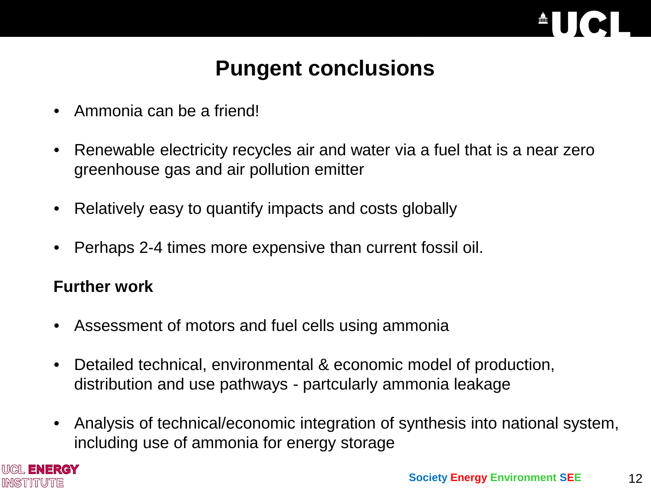

## **Pungent conclusions**

- Ammonia can be a friend!
- Renewable electricity recycles air and water via a fuel that is a near zero greenhouse gas and air pollution emitter
- Relatively easy to quantify impacts and costs globally
- Perhaps 2-4 times more expensive than current fossil oil.

### **Further work**

- Assessment of motors and fuel cells using ammonia
- Detailed technical, environmental & economic model of production, distribution and use pathways - partcularly ammonia leakage
- Analysis of technical/economic integration of synthesis into national system, including use of ammonia for energy storage

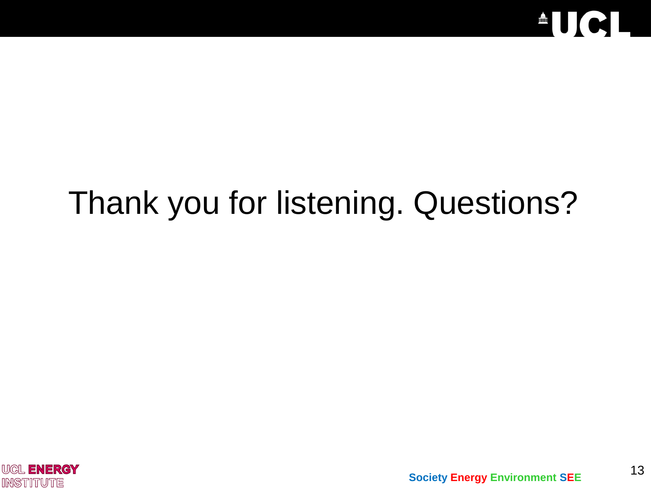

# Thank you for listening. Questions?

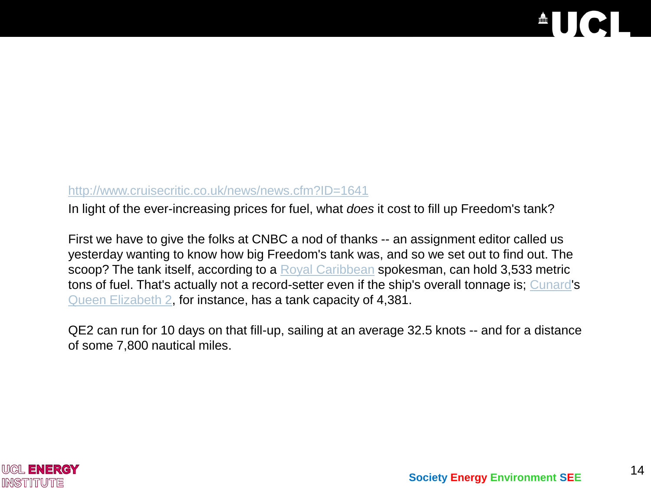### $\begin{array}{c|c} \hline \end{array}$ IC

#### <http://www.cruisecritic.co.uk/news/news.cfm?ID=1641>

In light of the ever-increasing prices for fuel, what *does* it cost to fill up Freedom's tank?

First we have to give the folks at CNBC a nod of thanks -- an assignment editor called us yesterday wanting to know how big Freedom's tank was, and so we set out to find out. The scoop? The tank itself, according to a [Royal Caribbean](http://www.cruisecritic.co.uk/reviews/cruiseline.cfm?CruiselineID=32) spokesman, can hold 3,533 metric tons of fuel. That's actually not a record-setter even if the ship's overall tonnage is; [Cunard](http://www.cruisecritic.co.uk/reviews/cruiseline.cfm?CruiselineID=13)'s [Queen Elizabeth 2](http://www.cruisecritic.co.uk/reviews/review.cfm?ShipID=247), for instance, has a tank capacity of 4,381.

QE2 can run for 10 days on that fill-up, sailing at an average 32.5 knots -- and for a distance of some 7,800 nautical miles.

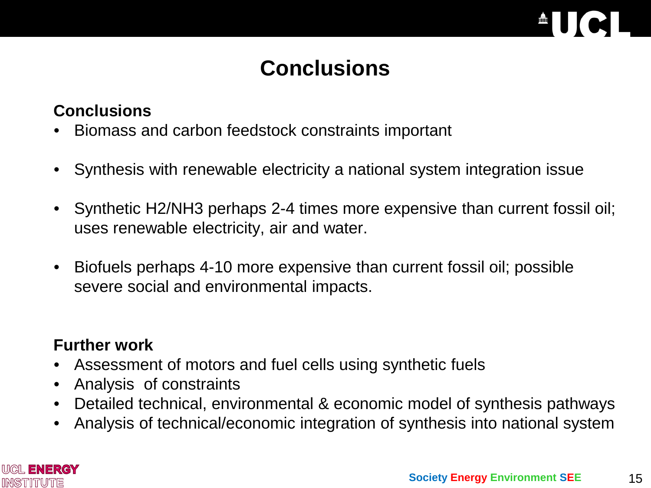

# **Conclusions**

### **Conclusions**

- Biomass and carbon feedstock constraints important
- Synthesis with renewable electricity a national system integration issue
- Synthetic H2/NH3 perhaps 2-4 times more expensive than current fossil oil; uses renewable electricity, air and water.
- Biofuels perhaps 4-10 more expensive than current fossil oil; possible severe social and environmental impacts.

### **Further work**

- Assessment of motors and fuel cells using synthetic fuels
- Analysis of constraints
- Detailed technical, environmental & economic model of synthesis pathways
- Analysis of technical/economic integration of synthesis into national system



15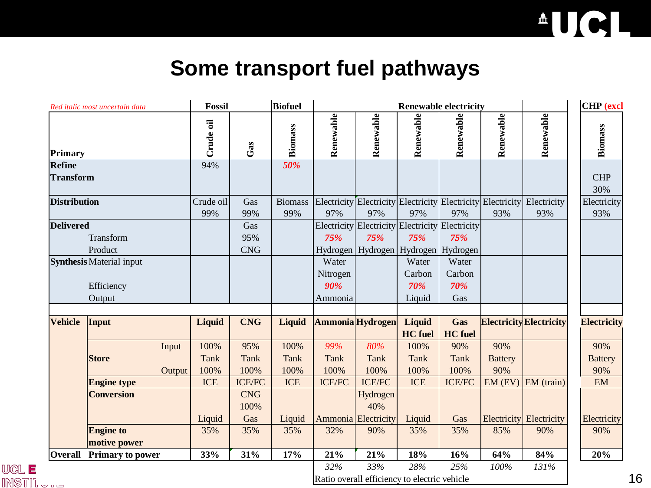

## **Some transport fuel pathways**

| Red italic most uncertain data<br>Primary                                   |                                 |                | <b>Fossil</b> |                | <b>Renewable electricity</b> |                                                 |                          |                |                                                                         |                                | <b>CHP</b> (excl   |  |
|-----------------------------------------------------------------------------|---------------------------------|----------------|---------------|----------------|------------------------------|-------------------------------------------------|--------------------------|----------------|-------------------------------------------------------------------------|--------------------------------|--------------------|--|
|                                                                             |                                 | Crude oil      | Gas           | Biomass        | Renewable                    | Renewable                                       | Renewable                | Renewable      | Renewable                                                               | Renewable                      | <b>Biomass</b>     |  |
| Refine                                                                      |                                 | 94%            |               | 50%            |                              |                                                 |                          |                |                                                                         |                                |                    |  |
| <b>Transform</b>                                                            |                                 |                |               |                |                              |                                                 |                          |                |                                                                         |                                | <b>CHP</b>         |  |
|                                                                             |                                 |                |               |                |                              |                                                 |                          |                |                                                                         |                                | 30%                |  |
| <b>Distribution</b>                                                         |                                 | Crude oil      | Gas           | <b>Biomass</b> |                              |                                                 |                          |                | Electricity Electricity Electricity Electricity Electricity Electricity |                                | Electricity        |  |
|                                                                             |                                 | 99%            | 99%           | 99%            | 97%                          | 97%                                             | 97%                      | 97%            | 93%                                                                     | 93%                            | 93%                |  |
| <b>Delivered</b><br>Transform<br>Product<br><b>Synthesis</b> Material input |                                 |                | Gas           |                |                              | Electricity Electricity Electricity Electricity |                          |                |                                                                         |                                |                    |  |
|                                                                             |                                 |                | 95%           |                | 75%                          | 75%                                             | 75%                      | 75%            |                                                                         |                                |                    |  |
|                                                                             |                                 |                | <b>CNG</b>    |                |                              | Hydrogen   Hydrogen   Hydrogen   Hydrogen       |                          |                |                                                                         |                                |                    |  |
|                                                                             |                                 |                |               |                | Water                        |                                                 | Water                    | Water          |                                                                         |                                |                    |  |
|                                                                             |                                 |                |               |                | Nitrogen                     |                                                 | Carbon                   | Carbon         |                                                                         |                                |                    |  |
|                                                                             | Efficiency                      |                |               |                | 90%                          |                                                 | 70%                      | 70%            |                                                                         |                                |                    |  |
|                                                                             | Output                          |                |               |                | Ammonia                      |                                                 | Liquid                   | Gas            |                                                                         |                                |                    |  |
| <b>Vehicle</b>                                                              |                                 |                | <b>CNG</b>    | Liquid         |                              | Ammonia Hydrogen                                |                          | Gas            |                                                                         | <b>Electricity Electricity</b> | <b>Electricity</b> |  |
|                                                                             | Input                           | Liquid         |               |                |                              |                                                 | Liquid<br><b>HC</b> fuel | <b>HC</b> fuel |                                                                         |                                |                    |  |
|                                                                             |                                 | 100%<br>Input  | 95%           | 100%           | 99%                          | 80%                                             | 100%                     | 90%            | 90%                                                                     |                                | 90%                |  |
|                                                                             | <b>Store</b>                    | <b>Tank</b>    | <b>Tank</b>   | <b>Tank</b>    | <b>Tank</b>                  | <b>Tank</b>                                     | <b>Tank</b>              | <b>Tank</b>    | <b>Battery</b>                                                          |                                | <b>Battery</b>     |  |
|                                                                             |                                 | 100%<br>Output | 100%          | 100%           | 100%                         | 100%                                            | 100%                     | 100%           | 90%                                                                     |                                | 90%                |  |
|                                                                             | <b>Engine type</b>              | <b>ICE</b>     | <b>ICE/FC</b> | <b>ICE</b>     | <b>ICE/FC</b>                | <b>ICE/FC</b>                                   | <b>ICE</b>               | <b>ICE/FC</b>  |                                                                         | $EM$ (EV) $EM$ (train)         | EM                 |  |
|                                                                             | <b>Conversion</b>               |                | <b>CNG</b>    |                |                              | Hydrogen                                        |                          |                |                                                                         |                                |                    |  |
|                                                                             |                                 |                | 100%          |                |                              | 40%                                             |                          |                |                                                                         |                                |                    |  |
|                                                                             |                                 | Liquid         | Gas           | Liquid         |                              | Ammonia Electricity                             | Liquid                   | Gas            |                                                                         | <b>Electricity</b> Electricity | Electricity        |  |
|                                                                             | <b>Engine to</b>                | 35%            | 35%           | 35%            | 32%                          | 90%                                             | 35%                      | 35%            | 85%                                                                     | 90%                            | 90%                |  |
|                                                                             | motive power                    |                |               |                |                              |                                                 |                          |                |                                                                         |                                |                    |  |
|                                                                             | <b>Overall</b> Primary to power | 33%            | 31%           | 17%            | 21%                          | 21%                                             | 18%                      | 16%            | 64%                                                                     | 84%                            | 20%                |  |
|                                                                             |                                 |                |               |                | 32%                          | 33%                                             | 28%                      | 25%            | 100%                                                                    | 131%                           |                    |  |
|                                                                             |                                 |                |               |                |                              |                                                 |                          |                |                                                                         |                                |                    |  |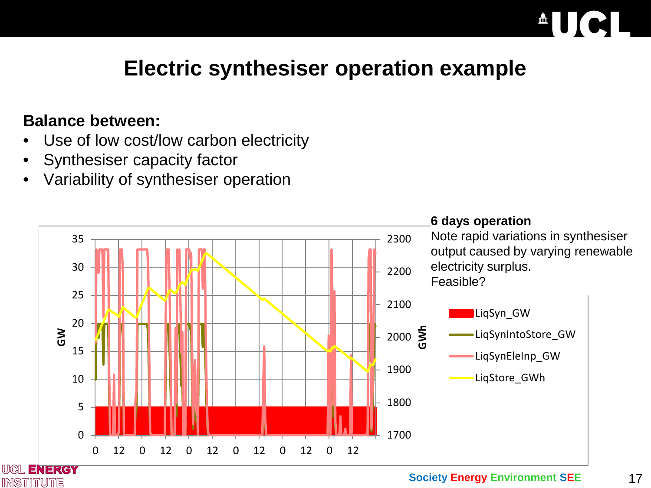# **Electric synthesiser operation example**

### **Balance between:**

**INSTITUTE** 

- Use of low cost/low carbon electricity
- Synthesiser capacity factor
- Variability of synthesiser operation

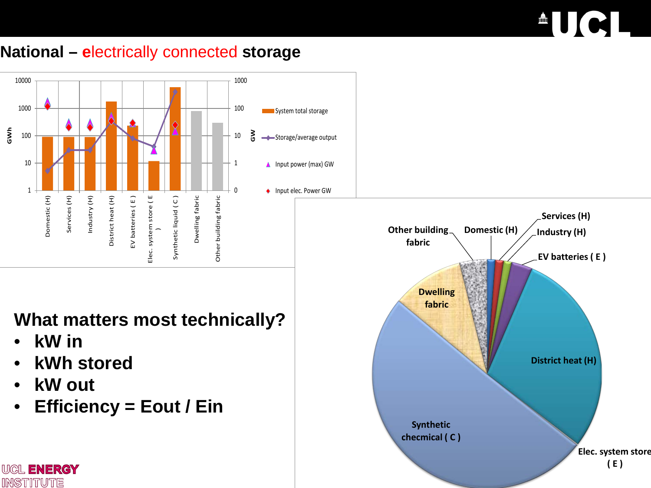# $\triangle$ UCI

### **National – e**lectrically connected **storage**

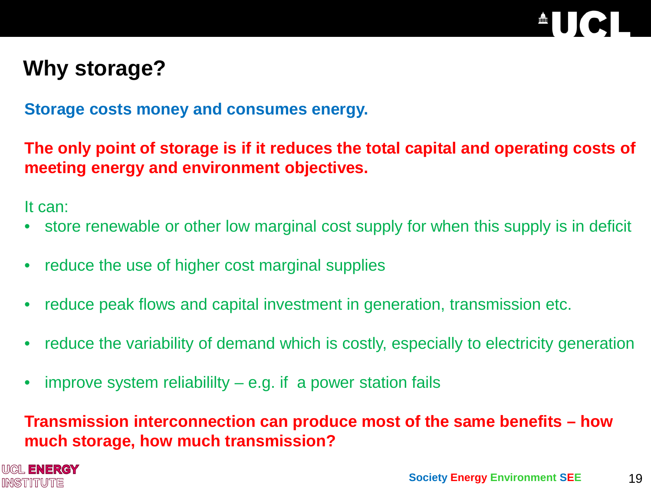## **Why storage?**

**Storage costs money and consumes energy.**

**The only point of storage is if it reduces the total capital and operating costs of meeting energy and environment objectives.**

It can:

- store renewable or other low marginal cost supply for when this supply is in deficit
- reduce the use of higher cost marginal supplies
- reduce peak flows and capital investment in generation, transmission etc.
- reduce the variability of demand which is costly, especially to electricity generation
- improve system reliabililty  $-e.g.$  if a power station fails

### **Transmission interconnection can produce most of the same benefits – how much storage, how much transmission?**

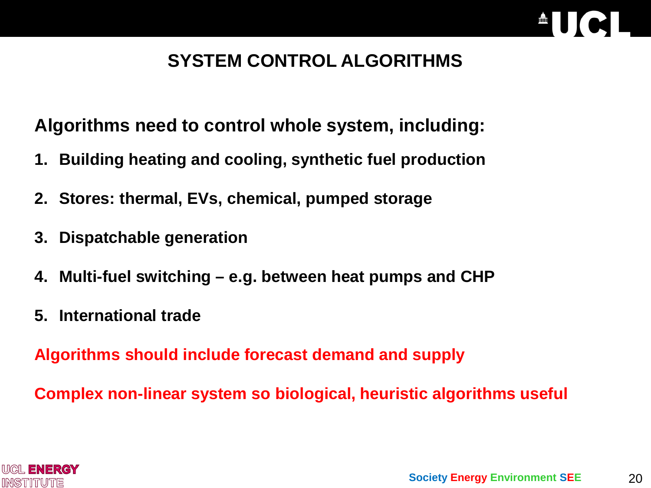## **SYSTEM CONTROL ALGORITHMS**

**Algorithms need to control whole system, including:**

- **1. Building heating and cooling, synthetic fuel production**
- **2. Stores: thermal, EVs, chemical, pumped storage**
- **3. Dispatchable generation**
- **4. Multi-fuel switching – e.g. between heat pumps and CHP**
- **5. International trade**

**Algorithms should include forecast demand and supply**

**Complex non-linear system so biological, heuristic algorithms useful**

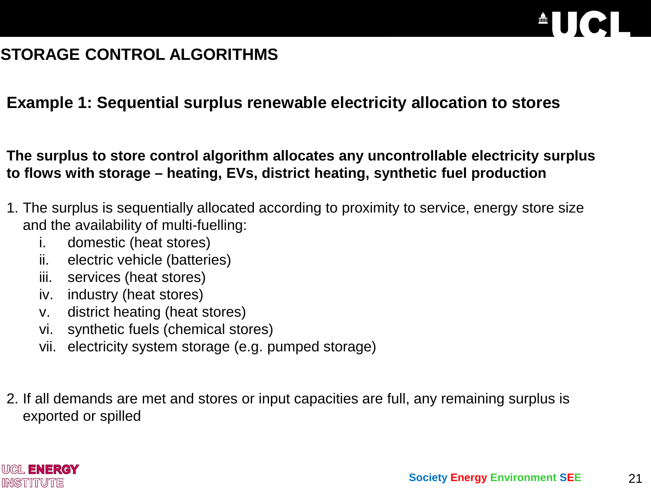

## **STORAGE CONTROL ALGORITHMS**

#### **Example 1: Sequential surplus renewable electricity allocation to stores**

**The surplus to store control algorithm allocates any uncontrollable electricity surplus to flows with storage – heating, EVs, district heating, synthetic fuel production**

- 1. The surplus is sequentially allocated according to proximity to service, energy store size and the availability of multi-fuelling:
	- i. domestic (heat stores)
	- ii. electric vehicle (batteries)
	- iii. services (heat stores)
	- iv. industry (heat stores)
	- v. district heating (heat stores)
	- vi. synthetic fuels (chemical stores)
	- vii. electricity system storage (e.g. pumped storage)
- 2. If all demands are met and stores or input capacities are full, any remaining surplus is exported or spilled

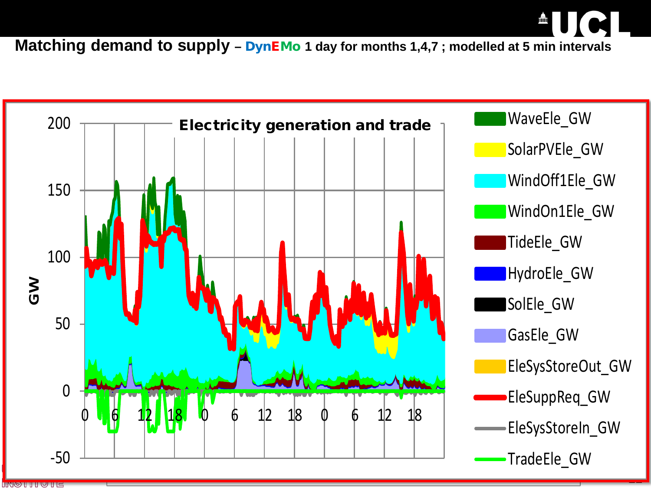**Matching demand to supply - DynEMo 1 day for months 1,4,7 ; modelled at 5 min intervals** 



<u>uding</u>